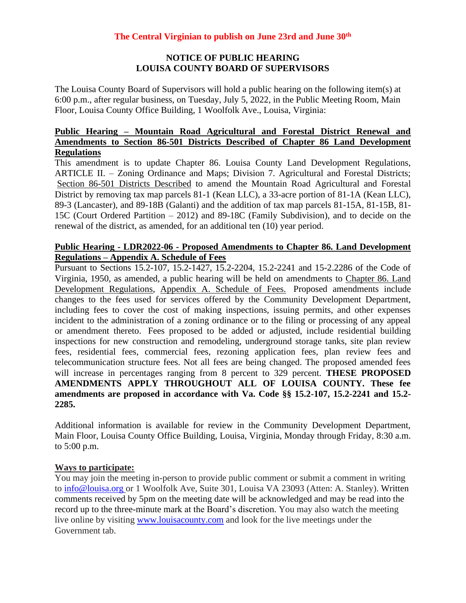# **NOTICE OF PUBLIC HEARING LOUISA COUNTY BOARD OF SUPERVISORS**

The Louisa County Board of Supervisors will hold a public hearing on the following item(s) at 6:00 p.m., after regular business, on Tuesday, July 5, 2022, in the Public Meeting Room, Main Floor, Louisa County Office Building, 1 Woolfolk Ave., Louisa, Virginia:

# **Public Hearing – Mountain Road Agricultural and Forestal District Renewal and Amendments to Section 86-501 Districts Described of Chapter 86 Land Development Regulations**

This amendment is to update Chapter 86. Louisa County Land Development Regulations, ARTICLE II. – Zoning Ordinance and Maps; Division 7. Agricultural and Forestal Districts; Section 86-501 Districts Described to amend the Mountain Road Agricultural and Forestal District by removing tax map parcels 81-1 (Kean LLC), a 33-acre portion of 81-1A (Kean LLC), 89-3 (Lancaster), and 89-18B (Galanti) and the addition of tax map parcels 81-15A, 81-15B, 81- 15C (Court Ordered Partition – 2012) and 89-18C (Family Subdivision), and to decide on the renewal of the district, as amended, for an additional ten (10) year period.

#### **Public Hearing - LDR2022-06 - Proposed Amendments to Chapter 86. Land Development Regulations – Appendix A. Schedule of Fees**

Pursuant to Sections 15.2-107, 15.2-1427, 15.2-2204, 15.2-2241 and 15-2.2286 of the Code of Virginia, 1950, as amended, a public hearing will be held on amendments to Chapter 86. Land Development Regulations, Appendix A. Schedule of Fees. Proposed amendments include changes to the fees used for services offered by the Community Development Department, including fees to cover the cost of making inspections, issuing permits, and other expenses incident to the administration of a zoning ordinance or to the filing or processing of any appeal or amendment thereto. Fees proposed to be added or adjusted, include residential building inspections for new construction and remodeling, underground storage tanks, site plan review fees, residential fees, commercial fees, rezoning application fees, plan review fees and telecommunication structure fees. Not all fees are being changed. The proposed amended fees will increase in percentages ranging from 8 percent to 329 percent. **THESE PROPOSED AMENDMENTS APPLY THROUGHOUT ALL OF LOUISA COUNTY. These fee amendments are proposed in accordance with Va. Code §§ 15.2-107, 15.2-2241 and 15.2- 2285.**

Additional information is available for review in the Community Development Department, Main Floor, Louisa County Office Building, Louisa, Virginia, Monday through Friday, 8:30 a.m. to 5:00 p.m.

# **Ways to participate:**

You may join the meeting in-person to provide public comment or submit a comment in writing to [info@louisa.org](mailto:info@louisa.org) or 1 Woolfolk Ave, Suite 301, Louisa VA 23093 (Atten: A. Stanley). Written comments received by 5pm on the meeting date will be acknowledged and may be read into the record up to the three-minute mark at the Board's discretion. You may also watch the meeting live online by visiting [www.louisacounty.com](http://www.louisacounty.com/) and look for the live meetings under the Government tab.